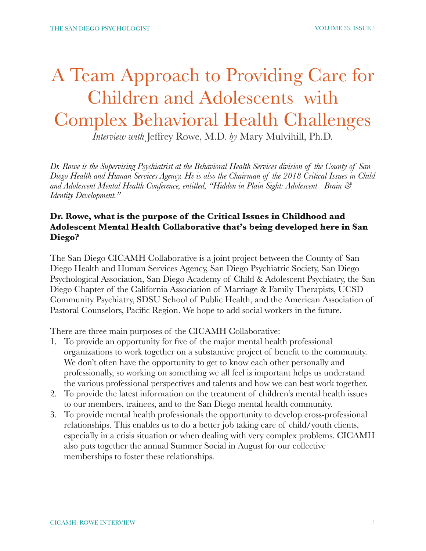# A Team Approach to Providing Care for Children and Adolescents with Complex Behavioral Health Challenges

*Interview with* Jeffrey Rowe, M.D. *by* Mary Mulvihill, Ph.D.

*Dr. Rowe is the Supervising Psychiatrist at the Behavioral Health Services division of the County of San Diego Health and Human Services Agency. He is also the Chairman of the 2018 Critical Issues in Child and Adolescent Mental Health Conference, entitled, "Hidden in Plain Sight: Adolescent Brain & Identity Development."* 

#### **Dr. Rowe, what is the purpose of the Critical Issues in Childhood and Adolescent Mental Health Collaborative that's being developed here in San Diego?**

The San Diego CICAMH Collaborative is a joint project between the County of San Diego Health and Human Services Agency, San Diego Psychiatric Society, San Diego Psychological Association, San Diego Academy of Child & Adolescent Psychiatry, the San Diego Chapter of the California Association of Marriage & Family Therapists, UCSD Community Psychiatry, SDSU School of Public Health, and the American Association of Pastoral Counselors, Pacific Region. We hope to add social workers in the future.

There are three main purposes of the CICAMH Collaborative:

- 1. To provide an opportunity for five of the major mental health professional organizations to work together on a substantive project of benefit to the community. We don't often have the opportunity to get to know each other personally and professionally, so working on something we all feel is important helps us understand the various professional perspectives and talents and how we can best work together.
- 2. To provide the latest information on the treatment of children's mental health issues to our members, trainees, and to the San Diego mental health community.
- 3. To provide mental health professionals the opportunity to develop cross-professional relationships. This enables us to do a better job taking care of child/youth clients, especially in a crisis situation or when dealing with very complex problems. CICAMH also puts together the annual Summer Social in August for our collective memberships to foster these relationships.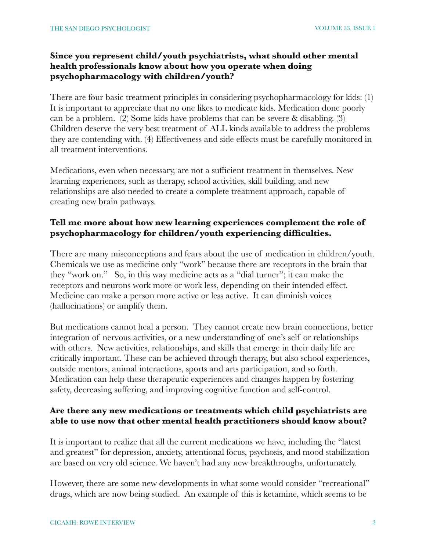# **Since you represent child/youth psychiatrists, what should other mental health professionals know about how you operate when doing psychopharmacology with children/youth?**

There are four basic treatment principles in considering psychopharmacology for kids: (1) It is important to appreciate that no one likes to medicate kids. Medication done poorly can be a problem. (2) Some kids have problems that can be severe & disabling. (3) Children deserve the very best treatment of ALL kinds available to address the problems they are contending with. (4) Effectiveness and side effects must be carefully monitored in all treatment interventions.

Medications, even when necessary, are not a sufficient treatment in themselves. New learning experiences, such as therapy, school activities, skill building, and new relationships are also needed to create a complete treatment approach, capable of creating new brain pathways.

## **Tell me more about how new learning experiences complement the role of psychopharmacology for children/youth experiencing difficulties.**

There are many misconceptions and fears about the use of medication in children/youth. Chemicals we use as medicine only "work" because there are receptors in the brain that they "work on." So, in this way medicine acts as a "dial turner"; it can make the receptors and neurons work more or work less, depending on their intended effect. Medicine can make a person more active or less active. It can diminish voices (hallucinations) or amplify them.

But medications cannot heal a person. They cannot create new brain connections, better integration of nervous activities, or a new understanding of one's self or relationships with others. New activities, relationships, and skills that emerge in their daily life are critically important. These can be achieved through therapy, but also school experiences, outside mentors, animal interactions, sports and arts participation, and so forth. Medication can help these therapeutic experiences and changes happen by fostering safety, decreasing suffering, and improving cognitive function and self-control.

# **Are there any new medications or treatments which child psychiatrists are able to use now that other mental health practitioners should know about?**

It is important to realize that all the current medications we have, including the "latest and greatest" for depression, anxiety, attentional focus, psychosis, and mood stabilization are based on very old science. We haven't had any new breakthroughs, unfortunately.

However, there are some new developments in what some would consider "recreational" drugs, which are now being studied. An example of this is ketamine, which seems to be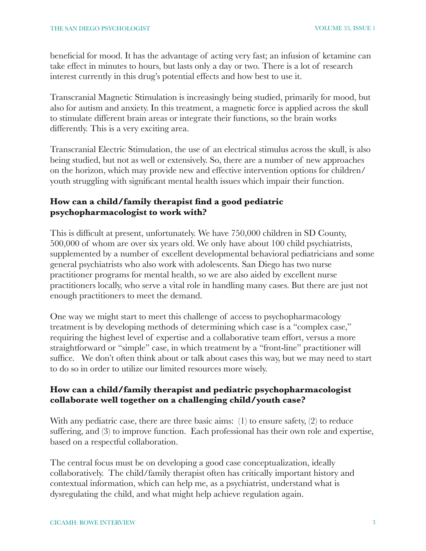beneficial for mood. It has the advantage of acting very fast; an infusion of ketamine can take effect in minutes to hours, but lasts only a day or two. There is a lot of research interest currently in this drug's potential effects and how best to use it.

Transcranial Magnetic Stimulation is increasingly being studied, primarily for mood, but also for autism and anxiety. In this treatment, a magnetic force is applied across the skull to stimulate different brain areas or integrate their functions, so the brain works differently. This is a very exciting area.

Transcranial Electric Stimulation, the use of an electrical stimulus across the skull, is also being studied, but not as well or extensively. So, there are a number of new approaches on the horizon, which may provide new and effective intervention options for children/ youth struggling with significant mental health issues which impair their function.

## **How can a child/family therapist find a good pediatric psychopharmacologist to work with?**

This is difficult at present, unfortunately. We have 750,000 children in SD County, 500,000 of whom are over six years old. We only have about 100 child psychiatrists, supplemented by a number of excellent developmental behavioral pediatricians and some general psychiatrists who also work with adolescents. San Diego has two nurse practitioner programs for mental health, so we are also aided by excellent nurse practitioners locally, who serve a vital role in handling many cases. But there are just not enough practitioners to meet the demand.

One way we might start to meet this challenge of access to psychopharmacology treatment is by developing methods of determining which case is a "complex case," requiring the highest level of expertise and a collaborative team effort, versus a more straightforward or "simple" case, in which treatment by a "front-line" practitioner will suffice. We don't often think about or talk about cases this way, but we may need to start to do so in order to utilize our limited resources more wisely.

## **How can a child/family therapist and pediatric psychopharmacologist collaborate well together on a challenging child/youth case?**

With any pediatric case, there are three basic aims: (1) to ensure safety, (2) to reduce suffering, and (3) to improve function. Each professional has their own role and expertise, based on a respectful collaboration.

The central focus must be on developing a good case conceptualization, ideally collaboratively. The child/family therapist often has critically important history and contextual information, which can help me, as a psychiatrist, understand what is dysregulating the child, and what might help achieve regulation again.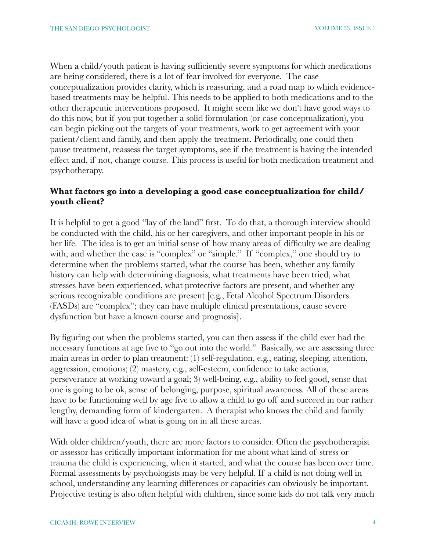When a child/youth patient is having sufficiently severe symptoms for which medications are being considered, there is a lot of fear involved for everyone. The case conceptualization provides clarity, which is reassuring, and a road map to which evidencebased treatments may be helpful. This needs to be applied to both medications and to the other therapeutic interventions proposed. It might seem like we don't have good ways to do this now, but if you put together a solid formulation (or case conceptualization), you can begin picking out the targets of your treatments, work to get agreement with your patient/client and family, and then apply the treatment. Periodically, one could then pause treatment, reassess the target symptoms, see if the treatment is having the intended effect and, if not, change course. This process is useful for both medication treatment and psychotherapy.

#### **What factors go into a developing a good case conceptualization for child/ youth client?**

It is helpful to get a good "lay of the land" first. To do that, a thorough interview should be conducted with the child, his or her caregivers, and other important people in his or her life. The idea is to get an initial sense of how many areas of difficulty we are dealing with, and whether the case is "complex" or "simple." If "complex," one should try to determine when the problems started, what the course has been, whether any family history can help with determining diagnosis, what treatments have been tried, what stresses have been experienced, what protective factors are present, and whether any serious recognizable conditions are present [e.g., Fetal Alcohol Spectrum Disorders (FASDs) are "complex"; they can have multiple clinical presentations, cause severe dysfunction but have a known course and prognosis].

By figuring out when the problems started, you can then assess if the child ever had the necessary functions at age five to "go out into the world." Basically, we are assessing three main areas in order to plan treatment: (1) self-regulation, e.g., eating, sleeping, attention, aggression, emotions; (2) mastery, e.g., self-esteem, confidence to take actions, perseverance at working toward a goal; 3) well-being, e.g., ability to feel good, sense that one is going to be ok, sense of belonging, purpose, spiritual awareness. All of these areas have to be functioning well by age five to allow a child to go off and succeed in our rather lengthy, demanding form of kindergarten. A therapist who knows the child and family will have a good idea of what is going on in all these areas.

With older children/youth, there are more factors to consider. Often the psychotherapist or assessor has critically important information for me about what kind of stress or trauma the child is experiencing, when it started, and what the course has been over time. Formal assessments by psychologists may be very helpful. If a child is not doing well in school, understanding any learning differences or capacities can obviously be important. Projective testing is also often helpful with children, since some kids do not talk very much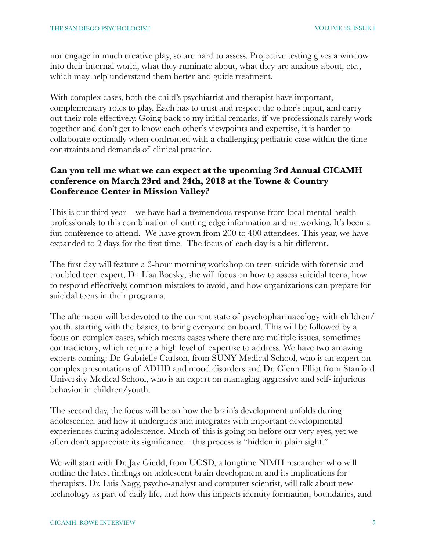nor engage in much creative play, so are hard to assess. Projective testing gives a window into their internal world, what they ruminate about, what they are anxious about, etc., which may help understand them better and guide treatment.

With complex cases, both the child's psychiatrist and therapist have important, complementary roles to play. Each has to trust and respect the other's input, and carry out their role effectively. Going back to my initial remarks, if we professionals rarely work together and don't get to know each other's viewpoints and expertise, it is harder to collaborate optimally when confronted with a challenging pediatric case within the time constraints and demands of clinical practice.

## **Can you tell me what we can expect at the upcoming 3rd Annual CICAMH conference on March 23rd and 24th, 2018 at the Towne & Country Conference Center in Mission Valley?**

This is our third year – we have had a tremendous response from local mental health professionals to this combination of cutting edge information and networking. It's been a fun conference to attend. We have grown from 200 to 400 attendees. This year, we have expanded to 2 days for the first time. The focus of each day is a bit different.

The first day will feature a 3-hour morning workshop on teen suicide with forensic and troubled teen expert, Dr. Lisa Boesky; she will focus on how to assess suicidal teens, how to respond effectively, common mistakes to avoid, and how organizations can prepare for suicidal teens in their programs.

The afternoon will be devoted to the current state of psychopharmacology with children/ youth, starting with the basics, to bring everyone on board. This will be followed by a focus on complex cases, which means cases where there are multiple issues, sometimes contradictory, which require a high level of expertise to address. We have two amazing experts coming: Dr. Gabrielle Carlson, from SUNY Medical School, who is an expert on complex presentations of ADHD and mood disorders and Dr. Glenn Elliot from Stanford University Medical School, who is an expert on managing aggressive and self- injurious behavior in children/youth.

The second day, the focus will be on how the brain's development unfolds during adolescence, and how it undergirds and integrates with important developmental experiences during adolescence. Much of this is going on before our very eyes, yet we often don't appreciate its significance – this process is "hidden in plain sight."

We will start with Dr. Jay Giedd, from UCSD, a longtime NIMH researcher who will outline the latest findings on adolescent brain development and its implications for therapists. Dr. Luis Nagy, psycho-analyst and computer scientist, will talk about new technology as part of daily life, and how this impacts identity formation, boundaries, and